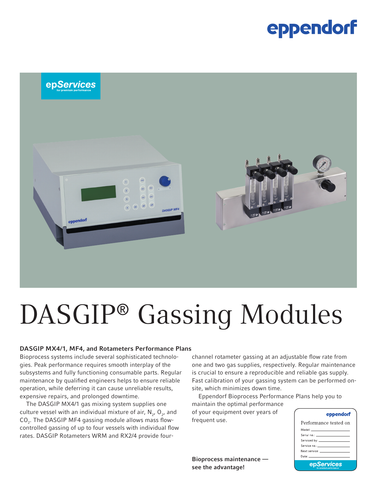### eppendorf



# DASGIP® Gassing Modules

#### DASGIP MX4/1, MF4, and Rotameters Performance Plans

Bioprocess systems include several sophisticated technologies. Peak performance requires smooth interplay of the subsystems and fully functioning consumable parts. Regular maintenance by qualified engineers helps to ensure reliable operation, while deferring it can cause unreliable results, expensive repairs, and prolonged downtime.

The DASGIP MX4/1 gas mixing system supplies one culture vessel with an individual mixture of air,  $\mathsf{N}_{2'}$ ,  $\mathsf{O}_{2'}$  and  $\mathsf{CO}_2$ . The DASGIP MF4 gassing module allows mass flowcontrolled gassing of up to four vessels with individual flow rates. DASGIP Rotameters WRM and RX2/4 provide fourchannel rotameter gassing at an adjustable flow rate from one and two gas supplies, respectively. Regular maintenance is crucial to ensure a reproducible and reliable gas supply. Fast calibration of your gassing system can be performed onsite, which minimizes down time.

Eppendorf Bioprocess Performance Plans help you to maintain the optimal performance

of your equipment over years of frequent use.

Bioprocess maintenance see the advantage!

| eppendorf |  |
|-----------|--|
|-----------|--|

| Performance tested on                                                                                                                                                                                                          |
|--------------------------------------------------------------------------------------------------------------------------------------------------------------------------------------------------------------------------------|
| Model: ________________________                                                                                                                                                                                                |
|                                                                                                                                                                                                                                |
|                                                                                                                                                                                                                                |
|                                                                                                                                                                                                                                |
| Next service: The contract of the contract of the contract of the contract of the contract of the contract of the contract of the contract of the contract of the contract of the contract of the contract of the contract of  |
| Date: the contract of the contract of the contract of the contract of the contract of the contract of the contract of the contract of the contract of the contract of the contract of the contract of the contract of the cont |
| <b>epServices</b><br><b><i>the promium portamonon</i></b>                                                                                                                                                                      |